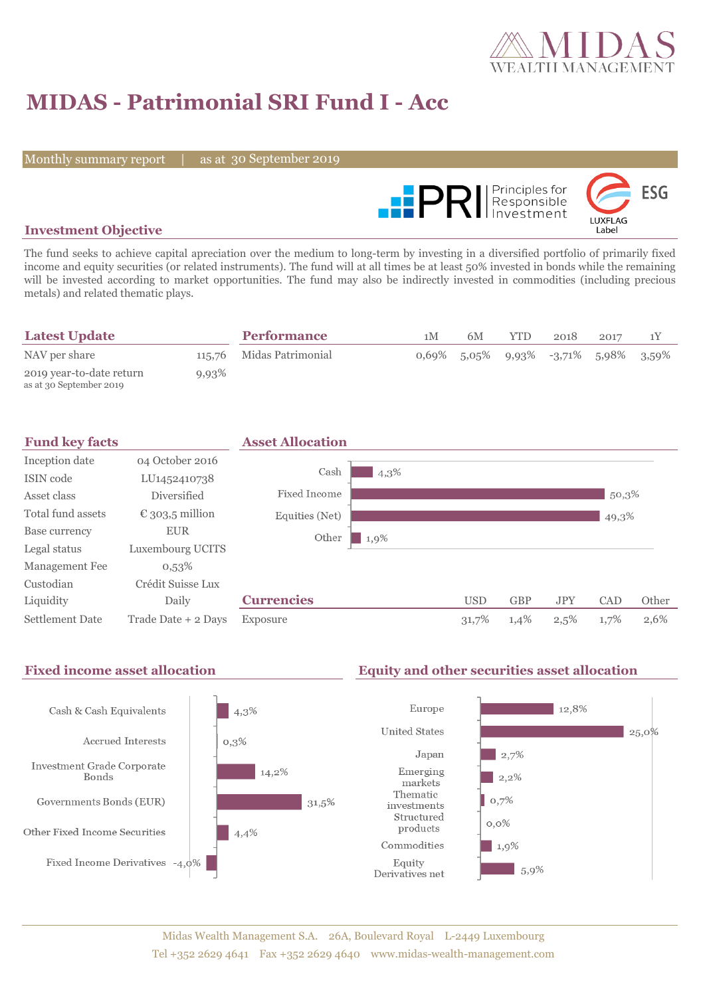

# **MIDAS - Patrimonial SRI Fund I - Acc**

Monthly summary report

30 September 2019



## **Investment Objective**

The fund seeks to achieve capital apreciation over the medium to long-term by investing in a diversified portfolio of primarily fixed income and equity securities (or related instruments). The fund will at all times be at least 50% invested in bonds while the remaining will be invested according to market opportunities. The fund may also be indirectly invested in commodities (including precious metals) and related thematic plays.

| <b>Latest Update</b>                                |       | <b>Performance</b>       | 1 <sub>M</sub> | 6M | YTD | 2018                                    | 2017 |  |
|-----------------------------------------------------|-------|--------------------------|----------------|----|-----|-----------------------------------------|------|--|
| NAV per share                                       |       | 115,76 Midas Patrimonial |                |    |     | $0.69\%$ 5,05% 9,93% -3,71% 5,98% 3,59% |      |  |
| 2019 year-to-date return<br>as at 30 September 2019 | 9,93% |                          |                |    |     |                                         |      |  |



#### Fixed income asset allocation **Equity and other securities asset allocation** Europe  $12,8%$ Cash & Cash Equivalents  $4.3\%$ **United States**  $|25,0\%$ Accrued Interests  $0,3%$ Japan  $\vert$  2,7% Investment Grade Corporate 14,2% Emerging  $2,2%$ Bonds markets Thematic  $0,7%$ Governments Bonds (EUR) 31,5% investments Structured  $0,0\%$ products Other Fixed Income Securities  $4,4%$ Commodities 1,9% Fixed Income Derivatives -4,0% Equity  $5,9%$ Derivatives net

### Midas Wealth Management S.A. 26A, Boulevard Royal L-2449 Luxembourg Tel +352 2629 4641 Fax +352 2629 4640 www.midas-wealth-management.com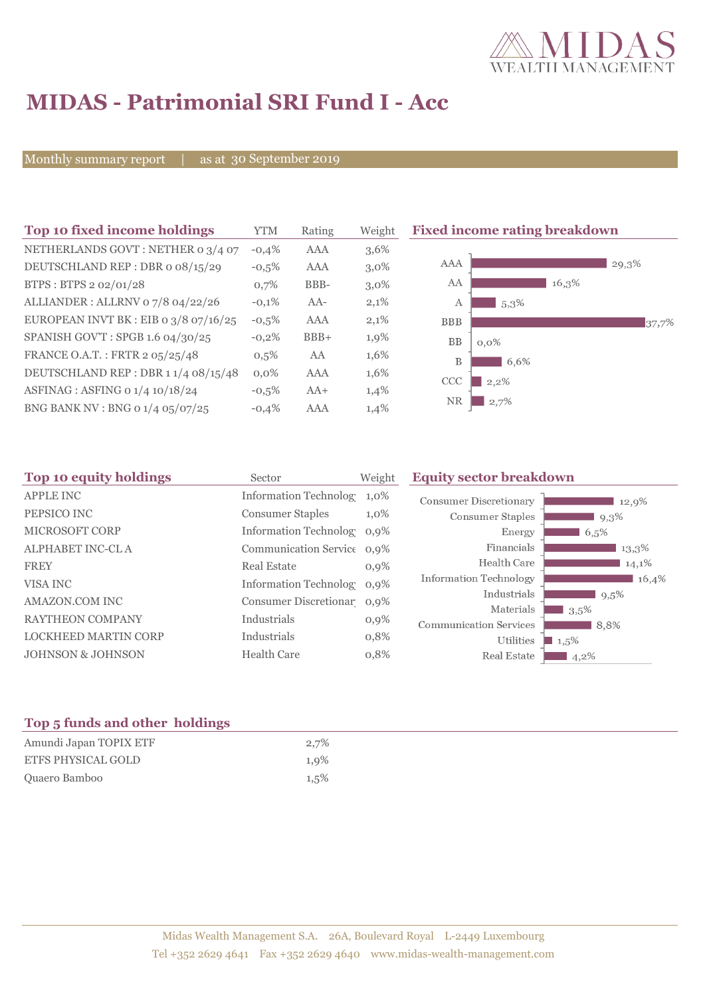

# **MIDAS - Patrimonial SRI Fund I - Acc**

Monthly summary report

as at 30 September 2019

| Top 10 fixed income holdings          | YTM     | Rating | Weigh   |
|---------------------------------------|---------|--------|---------|
| NETHERLANDS GOVT: NETHER 0 3/4 07     | $-0.4%$ | AAA    | 3,6%    |
| DEUTSCHLAND REP: DBR o 08/15/29       | $-0.5%$ | AAA    | $3,0\%$ |
| BTPS: BTPS 2 02/01/28                 | 0,7%    | BBB-   | $3,0\%$ |
| ALLIANDER: ALLRNV 07/8 04/22/26       | $-0.1%$ | $AA-$  | 2,1%    |
| EUROPEAN INVT BK : EIB 0 3/8 07/16/25 | $-0.5%$ | AAA    | 2,1%    |
| SPANISH GOV'T: SPGB 1.6 04/30/25      | $-0,2%$ | $BBB+$ | 1,9%    |
| FRANCE O.A.T.: FRTR 2 05/25/48        | 0.5%    | AA     | 1,6%    |
| DEUTSCHLAND REP : DBR 1 1/4 08/15/48  | $0.0\%$ | AAA    | 1,6%    |
| ASFINAG : ASFING 0 1/4 10/18/24       | $-0.5%$ | $AA+$  | 1,4%    |
| BNG BANK NV : BNG 0 1/4 05/07/25      | $-0.4%$ | AAA    | 1,4%    |

**Fixed income rating breakdown** 



| Top 10 equity holdings       | Sector                     | Weight  | <b>Equity sector breakdown</b>                             |       |  |
|------------------------------|----------------------------|---------|------------------------------------------------------------|-------|--|
| <b>APPLE INC</b>             | Information Technolog 1,0% |         | <b>Consumer Discretionary</b><br>12,9%                     |       |  |
| PEPSICO INC                  | <b>Consumer Staples</b>    | $1,0\%$ | <b>Consumer Staples</b><br>9,3%                            |       |  |
| <b>MICROSOFT CORP</b>        | Information Technolog 0,9% |         | Energy<br>6,5%                                             |       |  |
| <b>ALPHABET INC-CLA</b>      | Communication Service 0,9% |         | Financials<br>13,3%                                        |       |  |
| <b>FREY</b>                  | <b>Real Estate</b>         | 0,9%    | Health Care<br>14,1%                                       |       |  |
| VISA INC                     | Information Technolog 0,9% |         | Information Technology                                     | 16,4% |  |
| <b>AMAZON.COM INC</b>        | Consumer Discretionar 0,9% |         | Industrials<br>$9,5\%$                                     |       |  |
| <b>RAYTHEON COMPANY</b>      | Industrials                | $0,9\%$ | Materials<br>3,5%<br><b>Communication Services</b><br>8,8% |       |  |
| LOCKHEED MARTIN CORP         | Industrials                | 0,8%    | Utilities<br>$1,5\%$                                       |       |  |
| <b>JOHNSON &amp; JOHNSON</b> | <b>Health Care</b>         | 0,8%    | Real Estate<br>$14,2\%$                                    |       |  |
|                              |                            |         |                                                            |       |  |

# **Top 5 funds and other holdings**

| Amundi Japan TOPIX ETF    | 2,7% |
|---------------------------|------|
| <b>ETFS PHYSICAL GOLD</b> | 1,9% |
| Quaero Bamboo             | 1.5% |